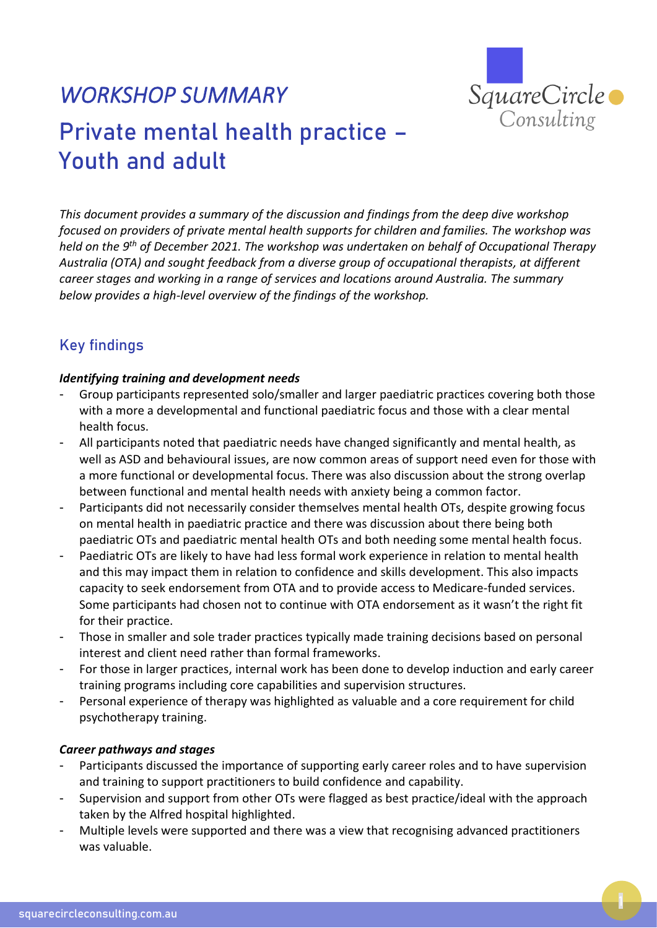

# *WORKSHOP SUMMARY*  Private mental health practice – Youth and adult

*This document provides a summary of the discussion and findings from the deep dive workshop focused on providers of private mental health supports for children and families. The workshop was held on the 9 th of December 2021. The workshop was undertaken on behalf of Occupational Therapy Australia (OTA) and sought feedback from a diverse group of occupational therapists, at different career stages and working in a range of services and locations around Australia. The summary below provides a high-level overview of the findings of the workshop.*

## Key findings

#### *Identifying training and development needs*

- Group participants represented solo/smaller and larger paediatric practices covering both those with a more a developmental and functional paediatric focus and those with a clear mental health focus.
- All participants noted that paediatric needs have changed significantly and mental health, as well as ASD and behavioural issues, are now common areas of support need even for those with a more functional or developmental focus. There was also discussion about the strong overlap between functional and mental health needs with anxiety being a common factor.
- Participants did not necessarily consider themselves mental health OTs, despite growing focus on mental health in paediatric practice and there was discussion about there being both paediatric OTs and paediatric mental health OTs and both needing some mental health focus.
- Paediatric OTs are likely to have had less formal work experience in relation to mental health and this may impact them in relation to confidence and skills development. This also impacts capacity to seek endorsement from OTA and to provide access to Medicare-funded services. Some participants had chosen not to continue with OTA endorsement as it wasn't the right fit for their practice.
- Those in smaller and sole trader practices typically made training decisions based on personal interest and client need rather than formal frameworks.
- For those in larger practices, internal work has been done to develop induction and early career training programs including core capabilities and supervision structures.
- Personal experience of therapy was highlighted as valuable and a core requirement for child psychotherapy training.

#### *Career pathways and stages*

- Participants discussed the importance of supporting early career roles and to have supervision and training to support practitioners to build confidence and capability.
- Supervision and support from other OTs were flagged as best practice/ideal with the approach taken by the Alfred hospital highlighted.
- Multiple levels were supported and there was a view that recognising advanced practitioners was valuable.